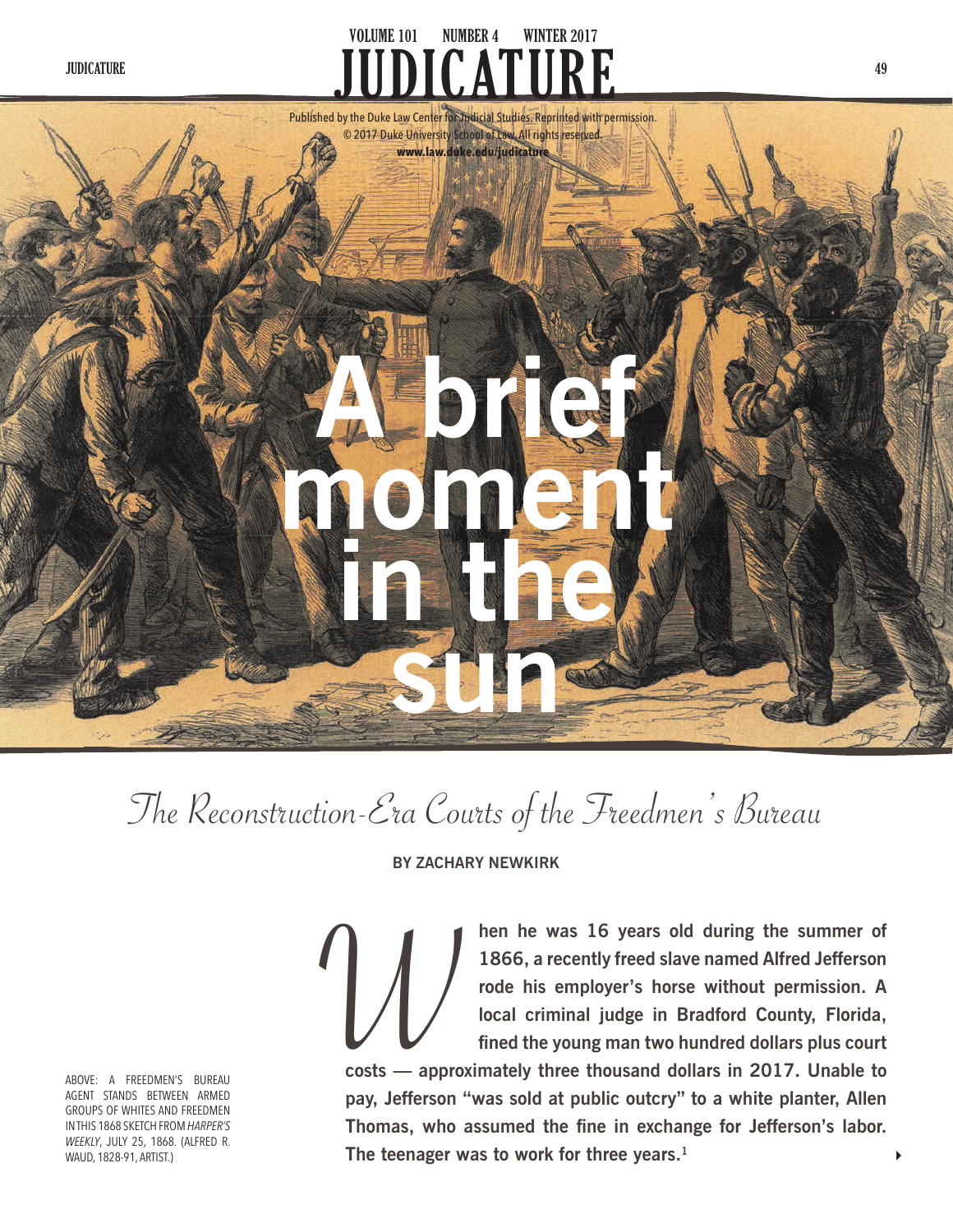# JUDICATURE **And Service Contract Contract Contract Contract Contract Contract Contract Contract Contract Contract Contract Contract Contract Contract Contract Contract Contract Contract Contract Contract Contract Contract JUDICATURE VOLUME 101 NUMBER 4 WINTER 2017**



The Reconstruction-Era Courts of the Freedmen's Bureau

**BY ZACHARY NEWKIRK**

ABOVE: A FREEDMEN'S BUREAU AGENT STANDS BETWEEN ARMED GROUPS OF WHITES AND FREEDMEN IN THIS 1868 SKETCH FROM *HARPER'S WEEKLY*, JULY 25, 1868. (ALFRED R. WAUD, 1828-91, ARTIST.)

**hen he was 16 years old during the summer of 1866, a recently freed slave named Alfred Jefferson rode his employer's horse without permission. A local criminal judge in Bradford County, Florida, fined the young man two hundred dollars plus court** 

**costs — approximately three thousand dollars in 2017. Unable to pay, Jefferson "was sold at public outcry" to a white planter, Allen Thomas, who assumed the fine in exchange for Jefferson's labor. The teenager was to work for three years.1**  $\bigvee$ <br> $\bigvee$   $\bigvee$   $\bigvee$   $\bigvee$   $\bigvee$   $\bigvee$   $\bigvee$   $\bigvee$   $\bigvee$   $\bigvee$   $\bigvee$   $\bigvee$   $\bigvee$   $\bigvee$   $\bigvee$   $\bigvee$   $\bigvee$   $\bigvee$   $\bigvee$   $\bigvee$   $\bigvee$   $\bigvee$   $\bigvee$   $\bigvee$   $\bigvee$   $\bigvee$   $\bigvee$   $\bigvee$   $\bigvee$   $\bigvee$   $\bigve$ 

 $\blacktriangleright$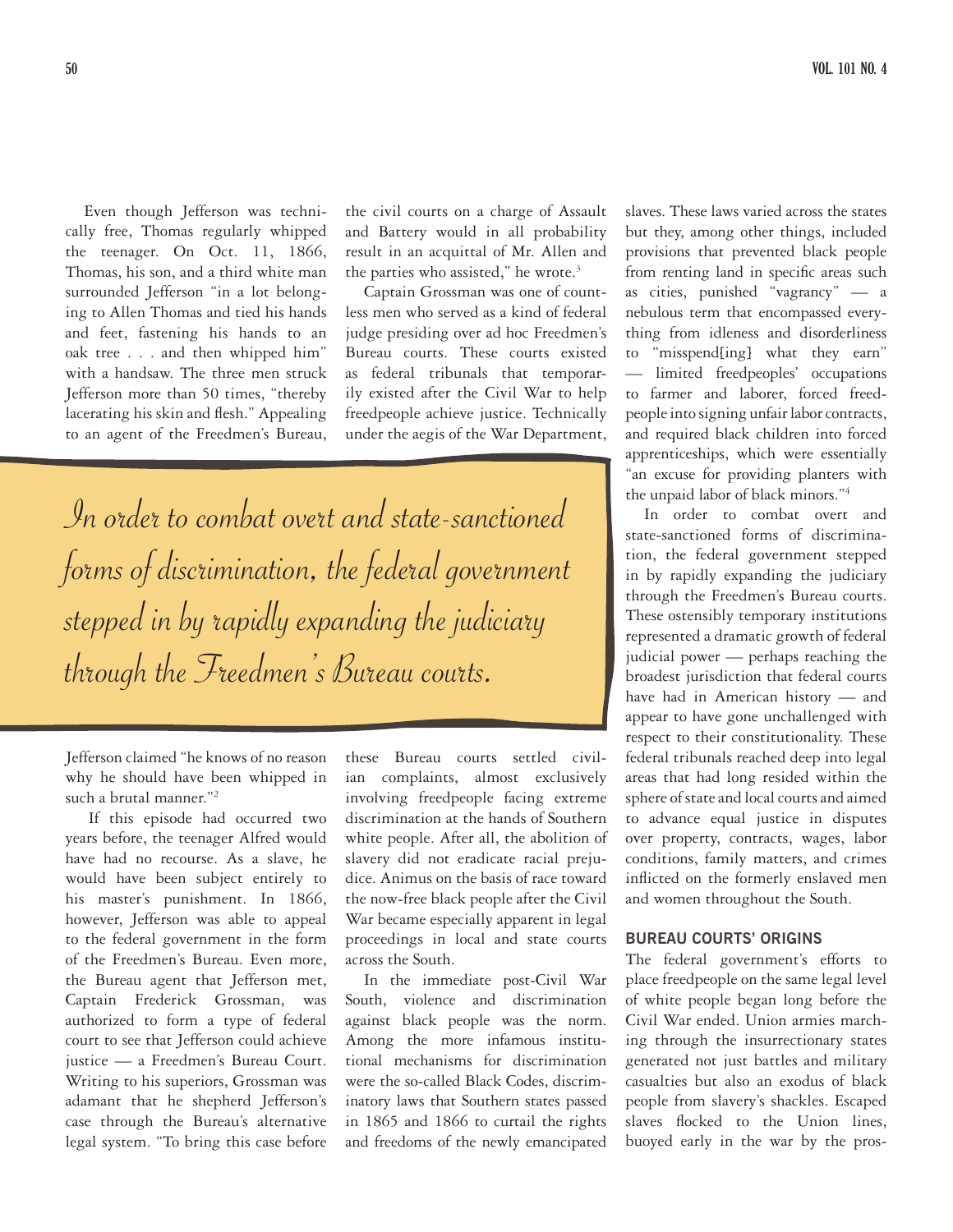Even though Jefferson was technically free, Thomas regularly whipped the teenager. On Oct. 11, 1866, Thomas, his son, and a third white man surrounded Jefferson "in a lot belonging to Allen Thomas and tied his hands and feet, fastening his hands to an oak tree . . . and then whipped him" with a handsaw. The three men struck Jefferson more than 50 times, "thereby lacerating his skin and flesh." Appealing to an agent of the Freedmen's Bureau,

the civil courts on a charge of Assault and Battery would in all probability result in an acquittal of Mr. Allen and the parties who assisted," he wrote.<sup>3</sup>

Captain Grossman was one of countless men who served as a kind of federal judge presiding over ad hoc Freedmen's Bureau courts. These courts existed as federal tribunals that temporarily existed after the Civil War to help freedpeople achieve justice. Technically under the aegis of the War Department,

In order to combat overt and state-sanctioned forms of discrimination, the federal government stepped in by rapidly expanding the judiciary through the Freedmen's Bureau courts.

Jefferson claimed "he knows of no reason why he should have been whipped in such a brutal manner."2

If this episode had occurred two years before, the teenager Alfred would have had no recourse. As a slave, he would have been subject entirely to his master's punishment. In 1866, however, Jefferson was able to appeal to the federal government in the form of the Freedmen's Bureau. Even more, the Bureau agent that Jefferson met, Captain Frederick Grossman, was authorized to form a type of federal court to see that Jefferson could achieve justice — a Freedmen's Bureau Court. Writing to his superiors, Grossman was adamant that he shepherd Jefferson's case through the Bureau's alternative legal system. "To bring this case before

these Bureau courts settled civilian complaints, almost exclusively involving freedpeople facing extreme discrimination at the hands of Southern white people. After all, the abolition of slavery did not eradicate racial prejudice. Animus on the basis of race toward the now-free black people after the Civil War became especially apparent in legal proceedings in local and state courts across the South.

In the immediate post-Civil War South, violence and discrimination against black people was the norm. Among the more infamous institutional mechanisms for discrimination were the so-called Black Codes, discriminatory laws that Southern states passed in 1865 and 1866 to curtail the rights and freedoms of the newly emancipated

slaves. These laws varied across the states but they, among other things, included provisions that prevented black people from renting land in specific areas such as cities, punished "vagrancy" — a nebulous term that encompassed everything from idleness and disorderliness to "misspend[ing] what they earn" — limited freedpeoples' occupations to farmer and laborer, forced freedpeople into signing unfair labor contracts, and required black children into forced apprenticeships, which were essentially "an excuse for providing planters with the unpaid labor of black minors."4

In order to combat overt and state-sanctioned forms of discrimination, the federal government stepped in by rapidly expanding the judiciary through the Freedmen's Bureau courts. These ostensibly temporary institutions represented a dramatic growth of federal judicial power — perhaps reaching the broadest jurisdiction that federal courts have had in American history — and appear to have gone unchallenged with respect to their constitutionality. These federal tribunals reached deep into legal areas that had long resided within the sphere of state and local courts and aimed to advance equal justice in disputes over property, contracts, wages, labor conditions, family matters, and crimes inflicted on the formerly enslaved men and women throughout the South.

#### **BUREAU COURTS' ORIGINS**

The federal government's efforts to place freedpeople on the same legal level of white people began long before the Civil War ended. Union armies marching through the insurrectionary states generated not just battles and military casualties but also an exodus of black people from slavery's shackles. Escaped slaves flocked to the Union lines, buoyed early in the war by the pros-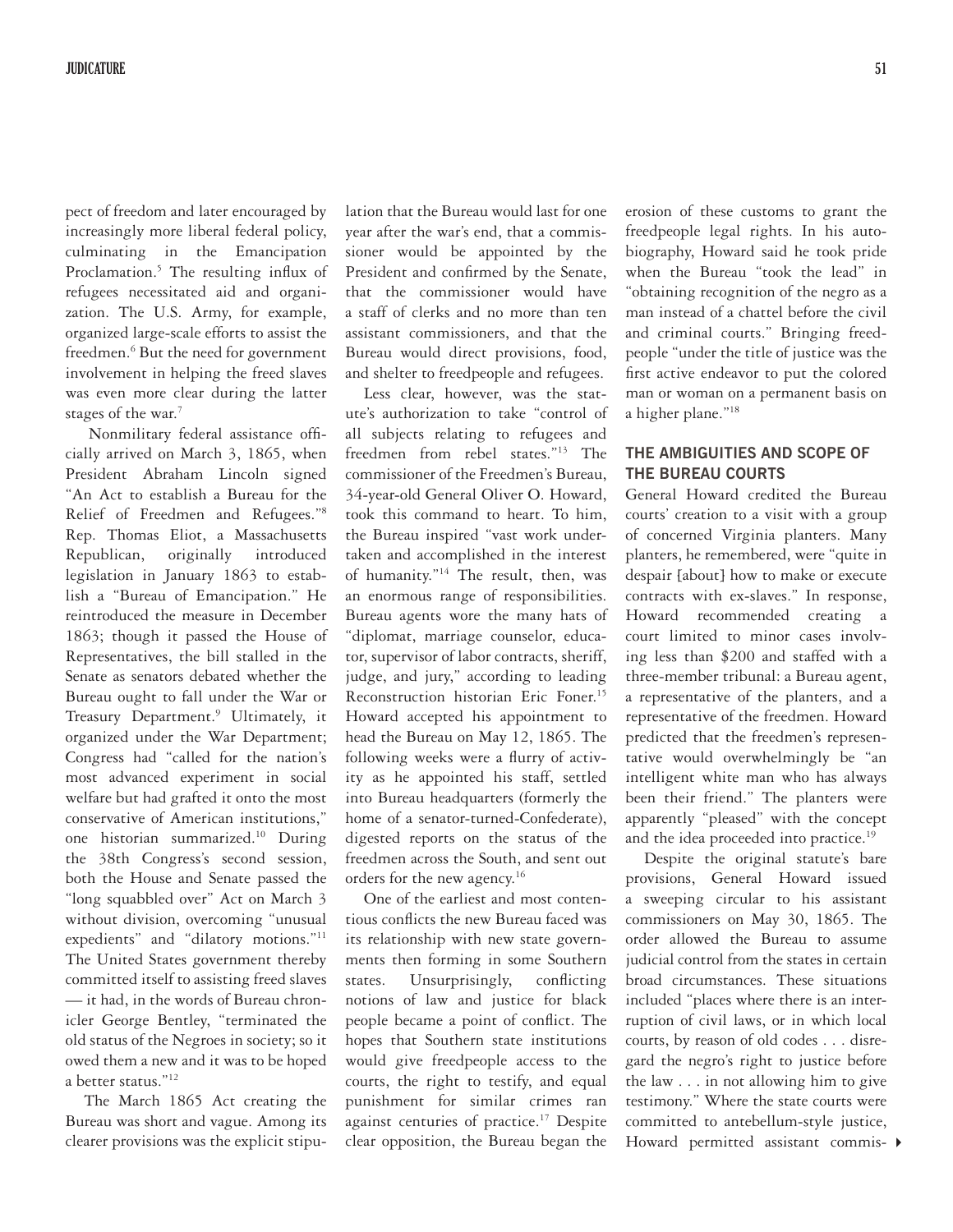pect of freedom and later encouraged by increasingly more liberal federal policy, culminating in the Emancipation Proclamation.<sup>5</sup> The resulting influx of refugees necessitated aid and organization. The U.S. Army, for example, organized large-scale efforts to assist the freedmen.<sup>6</sup> But the need for government involvement in helping the freed slaves was even more clear during the latter stages of the war.<sup>7</sup>

Nonmilitary federal assistance officially arrived on March 3, 1865, when President Abraham Lincoln signed "An Act to establish a Bureau for the Relief of Freedmen and Refugees."8 Rep. Thomas Eliot, a Massachusetts Republican, originally introduced legislation in January 1863 to establish a "Bureau of Emancipation." He reintroduced the measure in December 1863; though it passed the House of Representatives, the bill stalled in the Senate as senators debated whether the Bureau ought to fall under the War or Treasury Department.<sup>9</sup> Ultimately, it organized under the War Department; Congress had "called for the nation's most advanced experiment in social welfare but had grafted it onto the most conservative of American institutions," one historian summarized.10 During the 38th Congress's second session, both the House and Senate passed the "long squabbled over" Act on March 3 without division, overcoming "unusual expedients" and "dilatory motions."11 The United States government thereby committed itself to assisting freed slaves — it had, in the words of Bureau chronicler George Bentley, "terminated the old status of the Negroes in society; so it owed them a new and it was to be hoped a better status."12

The March 1865 Act creating the Bureau was short and vague. Among its clearer provisions was the explicit stipulation that the Bureau would last for one year after the war's end, that a commissioner would be appointed by the President and confirmed by the Senate, that the commissioner would have a staff of clerks and no more than ten assistant commissioners, and that the Bureau would direct provisions, food, and shelter to freedpeople and refugees.

Less clear, however, was the statute's authorization to take "control of all subjects relating to refugees and freedmen from rebel states."13 The commissioner of the Freedmen's Bureau, 34-year-old General Oliver O. Howard, took this command to heart. To him, the Bureau inspired "vast work undertaken and accomplished in the interest of humanity."14 The result, then, was an enormous range of responsibilities. Bureau agents wore the many hats of "diplomat, marriage counselor, educator, supervisor of labor contracts, sheriff, judge, and jury," according to leading Reconstruction historian Eric Foner.15 Howard accepted his appointment to head the Bureau on May 12, 1865. The following weeks were a flurry of activity as he appointed his staff, settled into Bureau headquarters (formerly the home of a senator-turned-Confederate), digested reports on the status of the freedmen across the South, and sent out orders for the new agency.16

One of the earliest and most contentious conflicts the new Bureau faced was its relationship with new state governments then forming in some Southern states. Unsurprisingly, conflicting notions of law and justice for black people became a point of conflict. The hopes that Southern state institutions would give freedpeople access to the courts, the right to testify, and equal punishment for similar crimes ran against centuries of practice.<sup>17</sup> Despite clear opposition, the Bureau began the erosion of these customs to grant the freedpeople legal rights. In his autobiography, Howard said he took pride when the Bureau "took the lead" in "obtaining recognition of the negro as a man instead of a chattel before the civil and criminal courts." Bringing freedpeople "under the title of justice was the first active endeavor to put the colored man or woman on a permanent basis on a higher plane."18

## **THE AMBIGUITIES AND SCOPE OF THE BUREAU COURTS**

General Howard credited the Bureau courts' creation to a visit with a group of concerned Virginia planters. Many planters, he remembered, were "quite in despair [about] how to make or execute contracts with ex-slaves." In response, Howard recommended creating a court limited to minor cases involving less than \$200 and staffed with a three-member tribunal: a Bureau agent, a representative of the planters, and a representative of the freedmen. Howard predicted that the freedmen's representative would overwhelmingly be "an intelligent white man who has always been their friend." The planters were apparently "pleased" with the concept and the idea proceeded into practice.<sup>19</sup>

4 Howard permitted assistant commis-Despite the original statute's bare provisions, General Howard issued a sweeping circular to his assistant commissioners on May 30, 1865. The order allowed the Bureau to assume judicial control from the states in certain broad circumstances. These situations included "places where there is an interruption of civil laws, or in which local courts, by reason of old codes . . . disregard the negro's right to justice before the law . . . in not allowing him to give testimony." Where the state courts were committed to antebellum-style justice,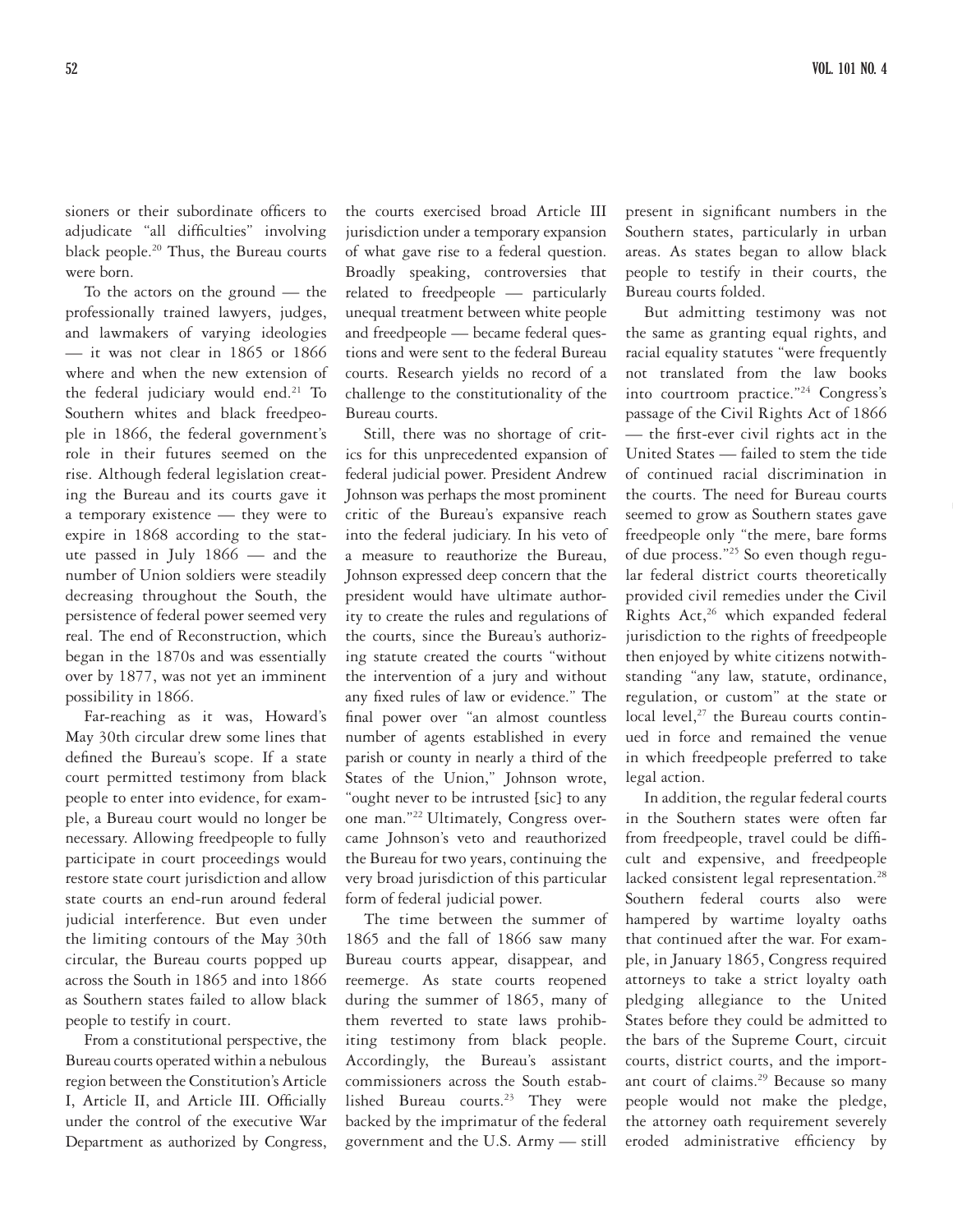sioners or their subordinate officers to adjudicate "all difficulties" involving black people.20 Thus, the Bureau courts were born.

To the actors on the ground — the professionally trained lawyers, judges, and lawmakers of varying ideologies — it was not clear in 1865 or 1866 where and when the new extension of the federal judiciary would end.<sup>21</sup> To Southern whites and black freedpeople in 1866, the federal government's role in their futures seemed on the rise. Although federal legislation creating the Bureau and its courts gave it a temporary existence — they were to expire in 1868 according to the statute passed in July 1866 — and the number of Union soldiers were steadily decreasing throughout the South, the persistence of federal power seemed very real. The end of Reconstruction, which began in the 1870s and was essentially over by 1877, was not yet an imminent possibility in 1866.

Far-reaching as it was, Howard's May 30th circular drew some lines that defined the Bureau's scope. If a state court permitted testimony from black people to enter into evidence, for example, a Bureau court would no longer be necessary. Allowing freedpeople to fully participate in court proceedings would restore state court jurisdiction and allow state courts an end-run around federal judicial interference. But even under the limiting contours of the May 30th circular, the Bureau courts popped up across the South in 1865 and into 1866 as Southern states failed to allow black people to testify in court.

From a constitutional perspective, the Bureau courts operated within a nebulous region between the Constitution's Article I, Article II, and Article III. Officially under the control of the executive War Department as authorized by Congress,

the courts exercised broad Article III jurisdiction under a temporary expansion of what gave rise to a federal question. Broadly speaking, controversies that related to freedpeople — particularly unequal treatment between white people and freedpeople — became federal questions and were sent to the federal Bureau courts. Research yields no record of a challenge to the constitutionality of the Bureau courts.

Still, there was no shortage of critics for this unprecedented expansion of federal judicial power. President Andrew Johnson was perhaps the most prominent critic of the Bureau's expansive reach into the federal judiciary. In his veto of a measure to reauthorize the Bureau, Johnson expressed deep concern that the president would have ultimate authority to create the rules and regulations of the courts, since the Bureau's authorizing statute created the courts "without the intervention of a jury and without any fixed rules of law or evidence." The final power over "an almost countless number of agents established in every parish or county in nearly a third of the States of the Union," Johnson wrote, "ought never to be intrusted [sic] to any one man."22 Ultimately, Congress overcame Johnson's veto and reauthorized the Bureau for two years, continuing the very broad jurisdiction of this particular form of federal judicial power.

The time between the summer of 1865 and the fall of 1866 saw many Bureau courts appear, disappear, and reemerge. As state courts reopened during the summer of 1865, many of them reverted to state laws prohibiting testimony from black people. Accordingly, the Bureau's assistant commissioners across the South established Bureau courts.<sup>23</sup> They were backed by the imprimatur of the federal government and the U.S. Army — still

present in significant numbers in the Southern states, particularly in urban areas. As states began to allow black people to testify in their courts, the Bureau courts folded.

But admitting testimony was not the same as granting equal rights, and racial equality statutes "were frequently not translated from the law books into courtroom practice."24 Congress's passage of the Civil Rights Act of 1866 — the first-ever civil rights act in the United States — failed to stem the tide of continued racial discrimination in the courts. The need for Bureau courts seemed to grow as Southern states gave freedpeople only "the mere, bare forms of due process."25 So even though regular federal district courts theoretically provided civil remedies under the Civil Rights Act,<sup>26</sup> which expanded federal jurisdiction to the rights of freedpeople then enjoyed by white citizens notwithstanding "any law, statute, ordinance, regulation, or custom" at the state or local level, $27$  the Bureau courts continued in force and remained the venue in which freedpeople preferred to take legal action.

In addition, the regular federal courts in the Southern states were often far from freedpeople, travel could be difficult and expensive, and freedpeople lacked consistent legal representation.<sup>28</sup> Southern federal courts also were hampered by wartime loyalty oaths that continued after the war. For example, in January 1865, Congress required attorneys to take a strict loyalty oath pledging allegiance to the United States before they could be admitted to the bars of the Supreme Court, circuit courts, district courts, and the important court of claims.<sup>29</sup> Because so many people would not make the pledge, the attorney oath requirement severely eroded administrative efficiency by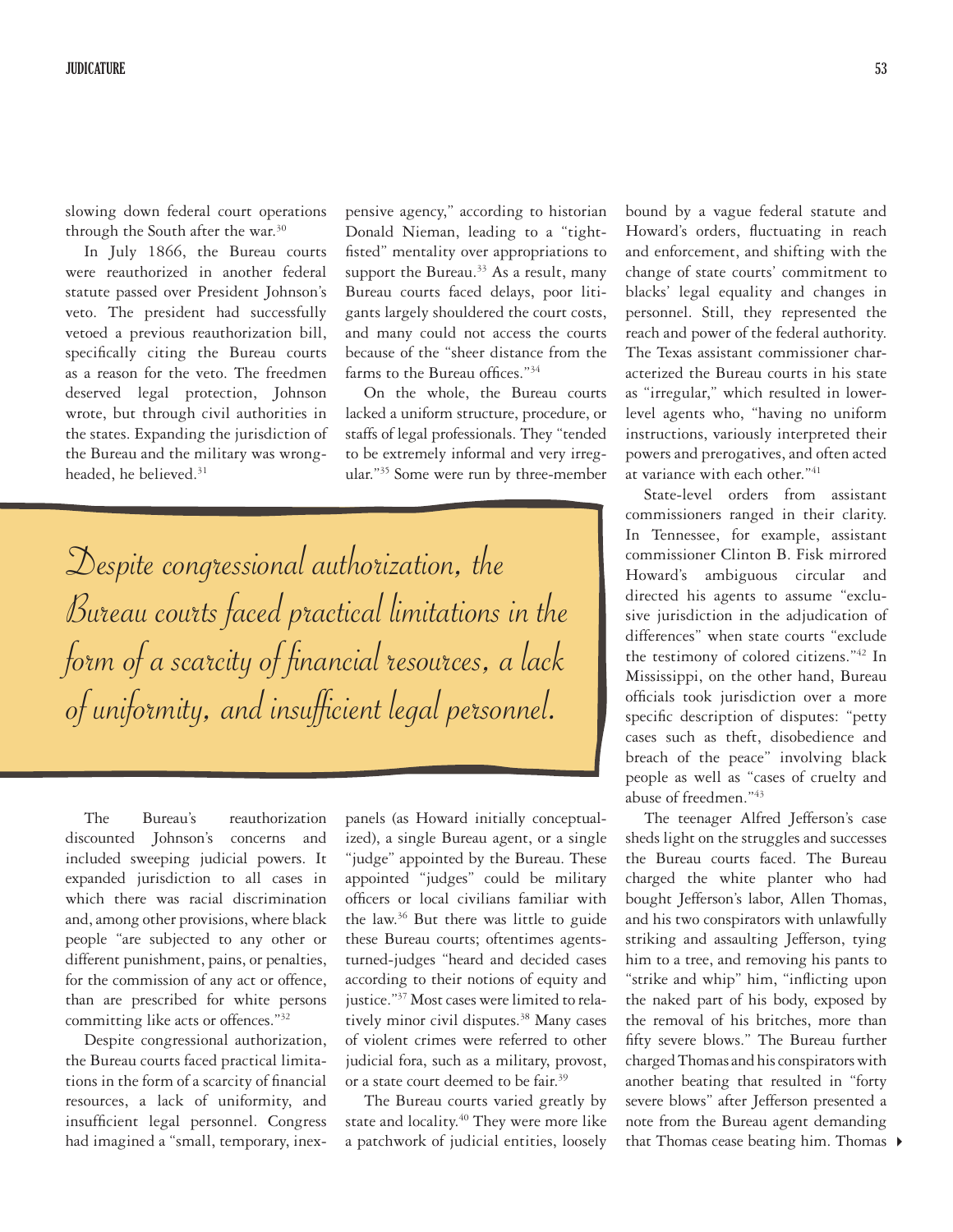slowing down federal court operations through the South after the war.<sup>30</sup>

In July 1866, the Bureau courts were reauthorized in another federal statute passed over President Johnson's veto. The president had successfully vetoed a previous reauthorization bill, specifically citing the Bureau courts as a reason for the veto. The freedmen deserved legal protection, Johnson wrote, but through civil authorities in the states. Expanding the jurisdiction of the Bureau and the military was wrongheaded, he believed.<sup>31</sup>

pensive agency," according to historian Donald Nieman, leading to a "tightfisted" mentality over appropriations to support the Bureau.<sup>33</sup> As a result, many Bureau courts faced delays, poor litigants largely shouldered the court costs, and many could not access the courts because of the "sheer distance from the farms to the Bureau offices."<sup>34</sup>

On the whole, the Bureau courts lacked a uniform structure, procedure, or staffs of legal professionals. They "tended to be extremely informal and very irregular."35 Some were run by three-member

Despite congressional authorization, the Bureau courts faced practical limitations in the form of a scarcity of financial resources, a lack of uniformity, and insufficient legal personnel.

The Bureau's reauthorization discounted Johnson's concerns and included sweeping judicial powers. It expanded jurisdiction to all cases in which there was racial discrimination and, among other provisions, where black people "are subjected to any other or different punishment, pains, or penalties, for the commission of any act or offence, than are prescribed for white persons committing like acts or offences."32

Despite congressional authorization, the Bureau courts faced practical limitations in the form of a scarcity of financial resources, a lack of uniformity, and insufficient legal personnel. Congress had imagined a "small, temporary, inex-

panels (as Howard initially conceptualized), a single Bureau agent, or a single "judge" appointed by the Bureau. These appointed "judges" could be military officers or local civilians familiar with the law.36 But there was little to guide these Bureau courts; oftentimes agentsturned-judges "heard and decided cases according to their notions of equity and justice."37 Most cases were limited to relatively minor civil disputes.<sup>38</sup> Many cases of violent crimes were referred to other judicial fora, such as a military, provost, or a state court deemed to be fair.<sup>39</sup>

The Bureau courts varied greatly by state and locality.<sup>40</sup> They were more like a patchwork of judicial entities, loosely

bound by a vague federal statute and Howard's orders, fluctuating in reach and enforcement, and shifting with the change of state courts' commitment to blacks' legal equality and changes in personnel. Still, they represented the reach and power of the federal authority. The Texas assistant commissioner characterized the Bureau courts in his state as "irregular," which resulted in lowerlevel agents who, "having no uniform instructions, variously interpreted their powers and prerogatives, and often acted at variance with each other."41

State-level orders from assistant commissioners ranged in their clarity. In Tennessee, for example, assistant commissioner Clinton B. Fisk mirrored Howard's ambiguous circular and directed his agents to assume "exclusive jurisdiction in the adjudication of differences" when state courts "exclude the testimony of colored citizens."42 In Mississippi, on the other hand, Bureau officials took jurisdiction over a more specific description of disputes: "petty cases such as theft, disobedience and breach of the peace" involving black people as well as "cases of cruelty and abuse of freedmen."43

The teenager Alfred Jefferson's case sheds light on the struggles and successes the Bureau courts faced. The Bureau charged the white planter who had bought Jefferson's labor, Allen Thomas, and his two conspirators with unlawfully striking and assaulting Jefferson, tying him to a tree, and removing his pants to "strike and whip" him, "inflicting upon the naked part of his body, exposed by the removal of his britches, more than fifty severe blows." The Bureau further charged Thomas and his conspirators with another beating that resulted in "forty severe blows" after Jefferson presented a note from the Bureau agent demanding that Thomas cease beating him. Thomas  $\blacktriangleright$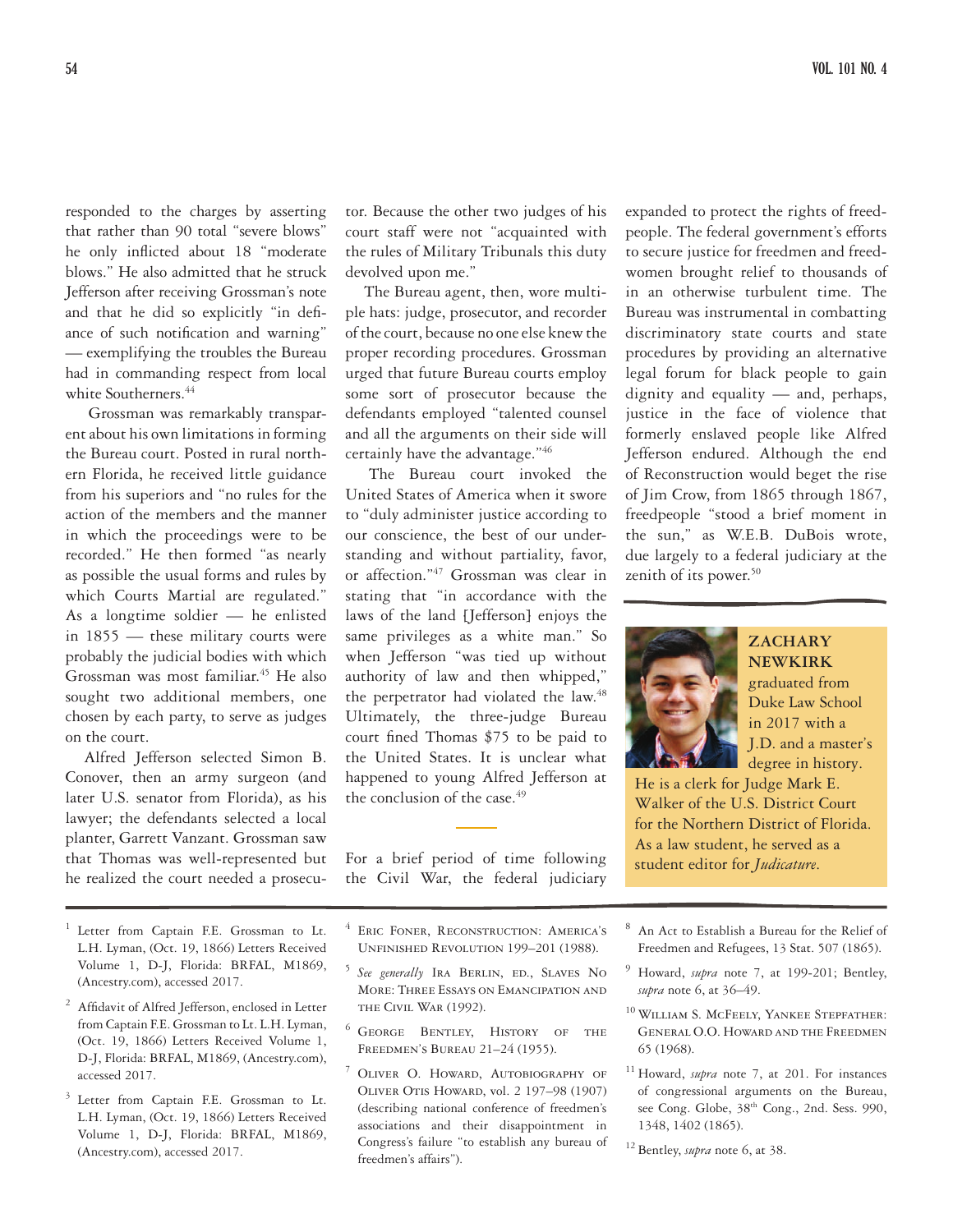responded to the charges by asserting that rather than 90 total "severe blows" he only inflicted about 18 "moderate blows." He also admitted that he struck Jefferson after receiving Grossman's note and that he did so explicitly "in defiance of such notification and warning" — exemplifying the troubles the Bureau had in commanding respect from local white Southerners.<sup>44</sup>

Grossman was remarkably transparent about his own limitations in forming the Bureau court. Posted in rural northern Florida, he received little guidance from his superiors and "no rules for the action of the members and the manner in which the proceedings were to be recorded." He then formed "as nearly as possible the usual forms and rules by which Courts Martial are regulated." As a longtime soldier — he enlisted in 1855 — these military courts were probably the judicial bodies with which Grossman was most familiar.<sup>45</sup> He also sought two additional members, one chosen by each party, to serve as judges on the court.

Alfred Jefferson selected Simon B. Conover, then an army surgeon (and later U.S. senator from Florida), as his lawyer; the defendants selected a local planter, Garrett Vanzant. Grossman saw that Thomas was well-represented but he realized the court needed a prosecu-

- <sup>1</sup> Letter from Captain F.E. Grossman to Lt. L.H. Lyman, (Oct. 19, 1866) Letters Received Volume 1, D-J, Florida: BRFAL, M1869, (Ancestry.com), accessed 2017.
- <sup>2</sup> Affidavit of Alfred Jefferson, enclosed in Letter from Captain F.E. Grossman to Lt. L.H. Lyman, (Oct. 19, 1866) Letters Received Volume 1, D-J, Florida: BRFAL, M1869, (Ancestry.com), accessed 2017.
- <sup>3</sup> Letter from Captain F.E. Grossman to Lt. L.H. Lyman, (Oct. 19, 1866) Letters Received Volume 1, D-J, Florida: BRFAL, M1869, (Ancestry.com), accessed 2017.

tor. Because the other two judges of his court staff were not "acquainted with the rules of Military Tribunals this duty devolved upon me."

The Bureau agent, then, wore multiple hats: judge, prosecutor, and recorder of the court, because no one else knew the proper recording procedures. Grossman urged that future Bureau courts employ some sort of prosecutor because the defendants employed "talented counsel and all the arguments on their side will certainly have the advantage."46

The Bureau court invoked the United States of America when it swore to "duly administer justice according to our conscience, the best of our understanding and without partiality, favor, or affection."47 Grossman was clear in stating that "in accordance with the laws of the land [Jefferson] enjoys the same privileges as a white man." So when Jefferson "was tied up without authority of law and then whipped," the perpetrator had violated the law.<sup>48</sup> Ultimately, the three-judge Bureau court fined Thomas \$75 to be paid to the United States. It is unclear what happened to young Alfred Jefferson at the conclusion of the case.<sup>49</sup>

For a brief period of time following the Civil War, the federal judiciary

expanded to protect the rights of freedpeople. The federal government's efforts to secure justice for freedmen and freedwomen brought relief to thousands of in an otherwise turbulent time. The Bureau was instrumental in combatting discriminatory state courts and state procedures by providing an alternative legal forum for black people to gain dignity and equality — and, perhaps, justice in the face of violence that formerly enslaved people like Alfred Jefferson endured. Although the end of Reconstruction would beget the rise of Jim Crow, from 1865 through 1867, freedpeople "stood a brief moment in the sun," as W.E.B. DuBois wrote, due largely to a federal judiciary at the zenith of its power.<sup>50</sup>



### **ZACHARY NEWKIRK**

graduated from Duke Law School in 2017 with a J.D. and a master's degree in history.

He is a clerk for Judge Mark E. Walker of the U.S. District Court for the Northern District of Florida. As a law student, he served as a student editor for *Judicature*.

- <sup>4</sup> ERIC FONER, RECONSTRUCTION: AMERICA'S Unfinished Revolution 199–201 (1988).
- <sup>5</sup> See generally IRA BERLIN, ED., SLAVES NO More: Three Essays on Emancipation and THE CIVIL WAR (1992).
- <sup>6</sup> George Bentley, History of the Freedmen's Bureau 21–24 (1955).
- OLIVER O. HOWARD, AUTOBIOGRAPHY OF Oliver Otis Howard, vol. 2 197–98 (1907) (describing national conference of freedmen's associations and their disappointment in Congress's failure "to establish any bureau of freedmen's affairs").
- <sup>8</sup> An Act to Establish a Bureau for the Relief of Freedmen and Refugees, 13 Stat. 507 (1865).
- <sup>9</sup> Howard, *supra* note 7, at 199-201; Bentley, *supra* note 6, at 36–49.
- <sup>10</sup> William S. McFeely, Yankee Stepfather: General O.O. Howard and the Freedmen 65 (1968).
- <sup>11</sup> Howard, *supra* note 7, at 201. For instances of congressional arguments on the Bureau, see Cong. Globe, 38<sup>th</sup> Cong., 2nd. Sess. 990, 1348, 1402 (1865).

<sup>12</sup> Bentley, *supra* note 6, at 38.